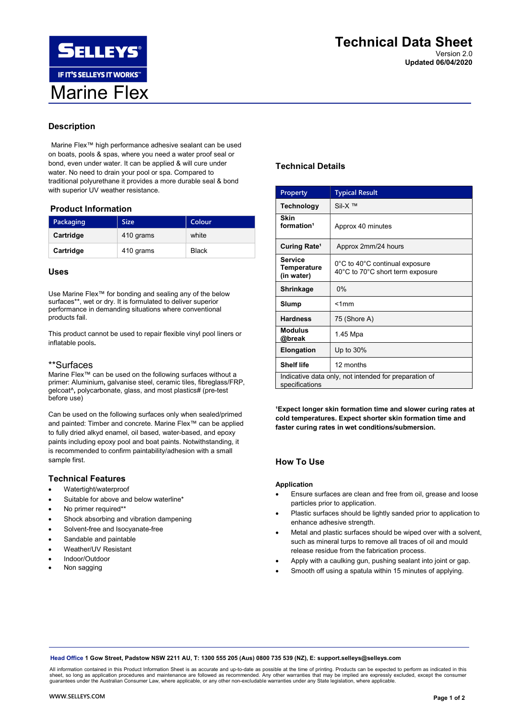# Description

Marine Flex™ high performance adhesive sealant can be used on boats, pools & spas, where you need a water proof seal or bond, even under water. It can be applied & will cure under water. No need to drain your pool or spa. Compared to traditional polyurethane it provides a more durable seal & bond with superior UV weather resistance.

#### Product Information

| Packaging | <b>Size</b> | Colour       |
|-----------|-------------|--------------|
| Cartridge | 410 grams   | white        |
| Cartridge | 410 grams   | <b>Black</b> |

### Uses

Use Marine Flex™ for bonding and sealing any of the below surfaces\*\*, wet or dry. It is formulated to deliver superior performance in demanding situations where conventional products fail.

This product cannot be used to repair flexible vinyl pool liners or inflatable pools.

## \*\*Surfaces

Marine Flex™ can be used on the following surfaces without a primer: Aluminium, galvanise steel, ceramic tiles, fibreglass/FRP, gelcoat^, polycarbonate, glass, and most plastics# (pre-test before use)

Can be used on the following surfaces only when sealed/primed and painted: Timber and concrete. Marine Flex™ can be applied to fully dried alkyd enamel, oil based, water-based, and epoxy paints including epoxy pool and boat paints. Notwithstanding, it is recommended to confirm paintability/adhesion with a small sample first.

## Technical Features

- Watertight/waterproof
- Suitable for above and below waterline\*
- No primer required\*\*
- Shock absorbing and vibration dampening
- Solvent-free and Isocyanate-free
- Sandable and paintable
- Weather/UV Resistant
- Indoor/Outdoor
- Non sagging

# Technical Details

| <b>Property</b>                                                         | <b>Typical Result</b>                                              |
|-------------------------------------------------------------------------|--------------------------------------------------------------------|
| Technology                                                              | Sil-X ™                                                            |
| <b>Skin</b><br>formation <sup>1</sup>                                   | Approx 40 minutes                                                  |
| Curing Rate <sup>1</sup>                                                | Approx 2mm/24 hours                                                |
| Service<br>Temperature<br>(in water)                                    | 0°C to 40°C continual exposure<br>40°C to 70°C short term exposure |
| Shrinkage                                                               | 0%                                                                 |
| Slump                                                                   | $<$ 1 $mm$                                                         |
| <b>Hardness</b>                                                         | 75 (Shore A)                                                       |
| <b>Modulus</b><br>@break                                                | 1.45 Mpa                                                           |
| Elongation                                                              | Up to 30%                                                          |
| <b>Shelf life</b>                                                       | 12 months                                                          |
| Indicative data only, not intended for preparation of<br>specifications |                                                                    |

'Expect longer skin formation time and slower curing rates at cold temperatures. Expect shorter skin formation time and faster curing rates in wet conditions/submersion.

## How To Use

#### Application

- Ensure surfaces are clean and free from oil, grease and loose particles prior to application.
- Plastic surfaces should be lightly sanded prior to application to enhance adhesive strength.
- Metal and plastic surfaces should be wiped over with a solvent, such as mineral turps to remove all traces of oil and mould release residue from the fabrication process.
- Apply with a caulking gun, pushing sealant into joint or gap.
- Smooth off using a spatula within 15 minutes of applying.

Head Office 1 Gow Street, Padstow NSW 2211 AU, T: 1300 555 205 (Aus) 0800 735 539 (NZ), E: support.selleys@selleys.com

All information contained in this Product Information Sheet is as accurate and up-to-date as possible at the time of printing. Products can be expected to perform as indicated in this<br>sheet, so long as application procedur guarantees under the Australian Consumer Law, where applicable, or any other non-excludable warranties under any State legislation, where applicable.